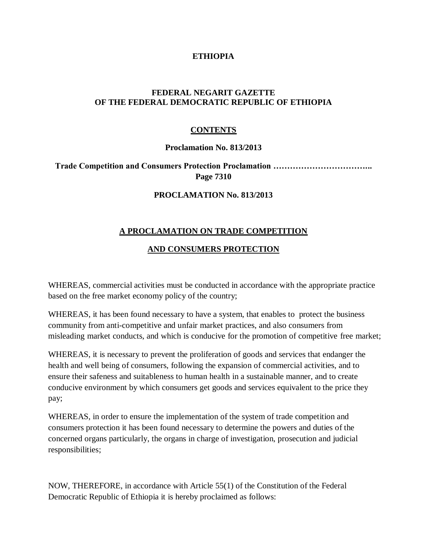### **ETHIOPIA**

# **FEDERAL NEGARIT GAZETTE OF THE FEDERAL DEMOCRATIC REPUBLIC OF ETHIOPIA**

### **CONTENTS**

#### **Proclamation No. 813/2013**

**Trade Competition and Consumers Protection Proclamation ……………………………... Page 7310**

#### **PROCLAMATION No. 813/2013**

### **A PROCLAMATION ON TRADE COMPETITION**

# **AND CONSUMERS PROTECTION**

WHEREAS, commercial activities must be conducted in accordance with the appropriate practice based on the free market economy policy of the country;

WHEREAS, it has been found necessary to have a system, that enables to protect the business community from anti-competitive and unfair market practices, and also consumers from misleading market conducts, and which is conducive for the promotion of competitive free market;

WHEREAS, it is necessary to prevent the proliferation of goods and services that endanger the health and well being of consumers, following the expansion of commercial activities, and to ensure their safeness and suitableness to human health in a sustainable manner, and to create conducive environment by which consumers get goods and services equivalent to the price they pay;

WHEREAS, in order to ensure the implementation of the system of trade competition and consumers protection it has been found necessary to determine the powers and duties of the concerned organs particularly, the organs in charge of investigation, prosecution and judicial responsibilities;

NOW, THEREFORE, in accordance with Article 55(1) of the Constitution of the Federal Democratic Republic of Ethiopia it is hereby proclaimed as follows: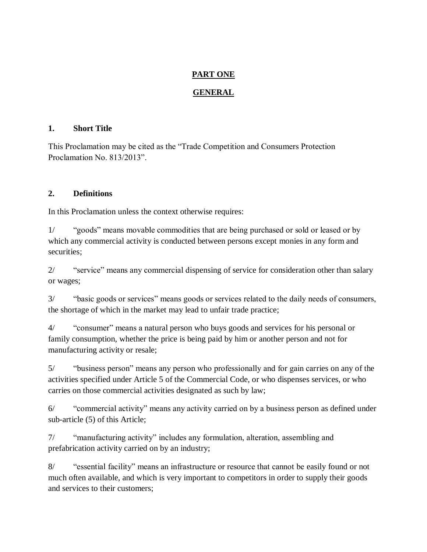# **PART ONE**

# **GENERAL**

### **1. Short Title**

This Proclamation may be cited as the "Trade Competition and Consumers Protection Proclamation No. 813/2013".

### **2. Definitions**

In this Proclamation unless the context otherwise requires:

1/ "goods" means movable commodities that are being purchased or sold or leased or by which any commercial activity is conducted between persons except monies in any form and securities;

2/ "service" means any commercial dispensing of service for consideration other than salary or wages;

3/ "basic goods or services" means goods or services related to the daily needs of consumers, the shortage of which in the market may lead to unfair trade practice;

4/ "consumer" means a natural person who buys goods and services for his personal or family consumption, whether the price is being paid by him or another person and not for manufacturing activity or resale;

5/ "business person" means any person who professionally and for gain carries on any of the activities specified under Article 5 of the Commercial Code, or who dispenses services, or who carries on those commercial activities designated as such by law;

6/ "commercial activity" means any activity carried on by a business person as defined under sub-article (5) of this Article;

7/ "manufacturing activity" includes any formulation, alteration, assembling and prefabrication activity carried on by an industry;

8/ "essential facility" means an infrastructure or resource that cannot be easily found or not much often available, and which is very important to competitors in order to supply their goods and services to their customers;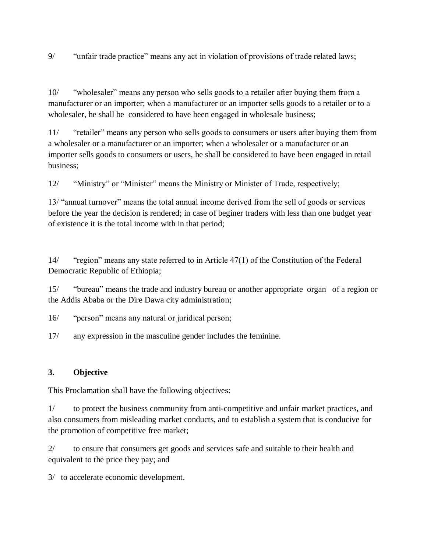9/ "unfair trade practice" means any act in violation of provisions of trade related laws;

10/ "wholesaler" means any person who sells goods to a retailer after buying them from a manufacturer or an importer; when a manufacturer or an importer sells goods to a retailer or to a wholesaler, he shall be considered to have been engaged in wholesale business;

11/ "retailer" means any person who sells goods to consumers or users after buying them from a wholesaler or a manufacturer or an importer; when a wholesaler or a manufacturer or an importer sells goods to consumers or users, he shall be considered to have been engaged in retail business;

12/ "Ministry" or "Minister" means the Ministry or Minister of Trade, respectively;

13/ "annual turnover" means the total annual income derived from the sell of goods or services before the year the decision is rendered; in case of beginer traders with less than one budget year of existence it is the total income with in that period;

14/ "region" means any state referred to in Article 47(1) of the Constitution of the Federal Democratic Republic of Ethiopia;

15/ "bureau" means the trade and industry bureau or another appropriate organ of a region or the Addis Ababa or the Dire Dawa city administration;

16/ "person" means any natural or juridical person;

17/ any expression in the masculine gender includes the feminine.

# **3. Objective**

This Proclamation shall have the following objectives:

1/ to protect the business community from anti-competitive and unfair market practices, and also consumers from misleading market conducts, and to establish a system that is conducive for the promotion of competitive free market;

2/ to ensure that consumers get goods and services safe and suitable to their health and equivalent to the price they pay; and

3/ to accelerate economic development.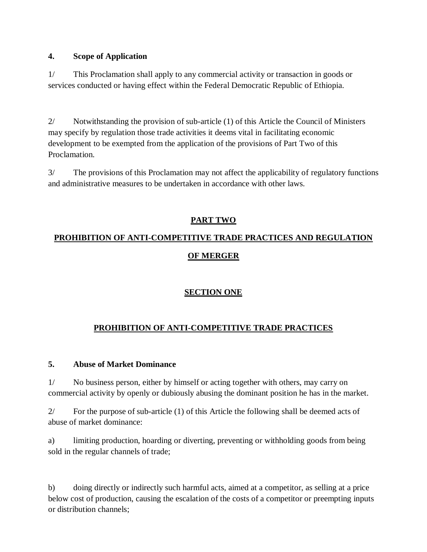# **4. Scope of Application**

1/ This Proclamation shall apply to any commercial activity or transaction in goods or services conducted or having effect within the Federal Democratic Republic of Ethiopia.

2/ Notwithstanding the provision of sub-article (1) of this Article the Council of Ministers may specify by regulation those trade activities it deems vital in facilitating economic development to be exempted from the application of the provisions of Part Two of this Proclamation.

3/ The provisions of this Proclamation may not affect the applicability of regulatory functions and administrative measures to be undertaken in accordance with other laws.

# **PART TWO**

# **PROHIBITION OF ANTI-COMPETITIVE TRADE PRACTICES AND REGULATION OF MERGER**

# **SECTION ONE**

# **PROHIBITION OF ANTI-COMPETITIVE TRADE PRACTICES**

#### **5. Abuse of Market Dominance**

1/ No business person, either by himself or acting together with others, may carry on commercial activity by openly or dubiously abusing the dominant position he has in the market.

2/ For the purpose of sub-article (1) of this Article the following shall be deemed acts of abuse of market dominance:

a) limiting production, hoarding or diverting, preventing or withholding goods from being sold in the regular channels of trade;

b) doing directly or indirectly such harmful acts, aimed at a competitor, as selling at a price below cost of production, causing the escalation of the costs of a competitor or preempting inputs or distribution channels;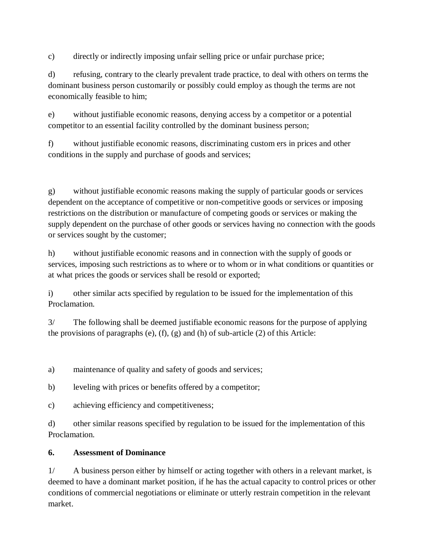c) directly or indirectly imposing unfair selling price or unfair purchase price;

d) refusing, contrary to the clearly prevalent trade practice, to deal with others on terms the dominant business person customarily or possibly could employ as though the terms are not economically feasible to him;

e) without justifiable economic reasons, denying access by a competitor or a potential competitor to an essential facility controlled by the dominant business person;

f) without justifiable economic reasons, discriminating custom ers in prices and other conditions in the supply and purchase of goods and services;

g) without justifiable economic reasons making the supply of particular goods or services dependent on the acceptance of competitive or non-competitive goods or services or imposing restrictions on the distribution or manufacture of competing goods or services or making the supply dependent on the purchase of other goods or services having no connection with the goods or services sought by the customer;

h) without justifiable economic reasons and in connection with the supply of goods or services, imposing such restrictions as to where or to whom or in what conditions or quantities or at what prices the goods or services shall be resold or exported;

i) other similar acts specified by regulation to be issued for the implementation of this Proclamation.

3/ The following shall be deemed justifiable economic reasons for the purpose of applying the provisions of paragraphs (e), (f), (g) and (h) of sub-article (2) of this Article:

a) maintenance of quality and safety of goods and services;

b) leveling with prices or benefits offered by a competitor;

c) achieving efficiency and competitiveness;

d) other similar reasons specified by regulation to be issued for the implementation of this Proclamation.

# **6. Assessment of Dominance**

1/ A business person either by himself or acting together with others in a relevant market, is deemed to have a dominant market position, if he has the actual capacity to control prices or other conditions of commercial negotiations or eliminate or utterly restrain competition in the relevant market.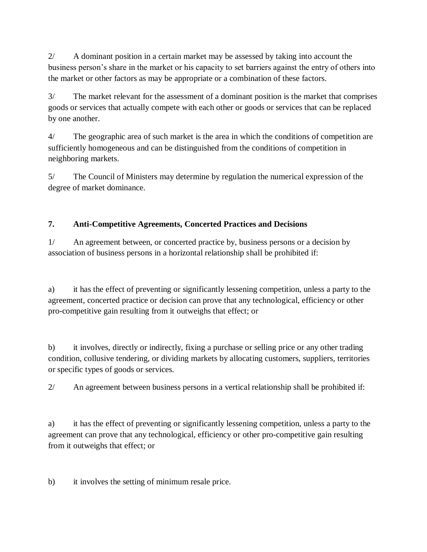2/ A dominant position in a certain market may be assessed by taking into account the business person's share in the market or his capacity to set barriers against the entry of others into the market or other factors as may be appropriate or a combination of these factors.

3/ The market relevant for the assessment of a dominant position is the market that comprises goods or services that actually compete with each other or goods or services that can be replaced by one another.

4/ The geographic area of such market is the area in which the conditions of competition are sufficiently homogeneous and can be distinguished from the conditions of competition in neighboring markets.

5/ The Council of Ministers may determine by regulation the numerical expression of the degree of market dominance.

# **7. Anti-Competitive Agreements, Concerted Practices and Decisions**

1/ An agreement between, or concerted practice by, business persons or a decision by association of business persons in a horizontal relationship shall be prohibited if:

a) it has the effect of preventing or significantly lessening competition, unless a party to the agreement, concerted practice or decision can prove that any technological, efficiency or other pro-competitive gain resulting from it outweighs that effect; or

b) it involves, directly or indirectly, fixing a purchase or selling price or any other trading condition, collusive tendering, or dividing markets by allocating customers, suppliers, territories or specific types of goods or services.

2/ An agreement between business persons in a vertical relationship shall be prohibited if:

a) it has the effect of preventing or significantly lessening competition, unless a party to the agreement can prove that any technological, efficiency or other pro-competitive gain resulting from it outweighs that effect; or

b) it involves the setting of minimum resale price.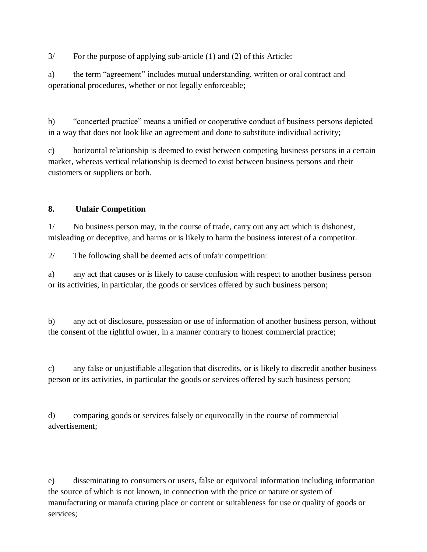3/ For the purpose of applying sub-article (1) and (2) of this Article:

a) the term "agreement" includes mutual understanding, written or oral contract and operational procedures, whether or not legally enforceable;

b) "concerted practice" means a unified or cooperative conduct of business persons depicted in a way that does not look like an agreement and done to substitute individual activity;

c) horizontal relationship is deemed to exist between competing business persons in a certain market, whereas vertical relationship is deemed to exist between business persons and their customers or suppliers or both.

# **8. Unfair Competition**

1/ No business person may, in the course of trade, carry out any act which is dishonest, misleading or deceptive, and harms or is likely to harm the business interest of a competitor.

2/ The following shall be deemed acts of unfair competition:

a) any act that causes or is likely to cause confusion with respect to another business person or its activities, in particular, the goods or services offered by such business person;

b) any act of disclosure, possession or use of information of another business person, without the consent of the rightful owner, in a manner contrary to honest commercial practice;

c) any false or unjustifiable allegation that discredits, or is likely to discredit another business person or its activities, in particular the goods or services offered by such business person;

d) comparing goods or services falsely or equivocally in the course of commercial advertisement;

e) disseminating to consumers or users, false or equivocal information including information the source of which is not known, in connection with the price or nature or system of manufacturing or manufa cturing place or content or suitableness for use or quality of goods or services;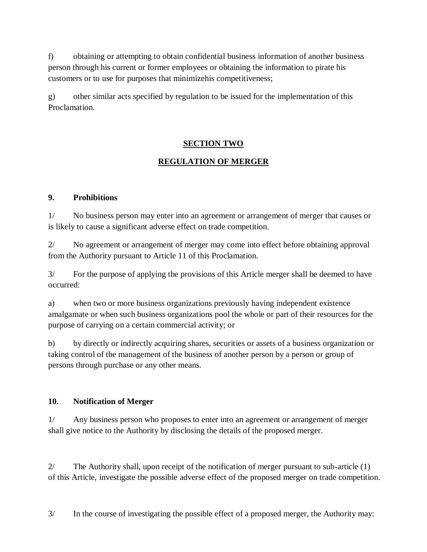f) obtaining or attempting to obtain confidential business information of another business person through his current or former employees or obtaining the information to pirate his customers or to use for purposes that minimizehis competitiveness;

g) other similar acts specified by regulation to be issued for the implementation of this Proclamation.

# **SECTION TWO**

# **REGULATION OF MERGER**

# **9. Prohibitions**

1/ No business person may enter into an agreement or arrangement of merger that causes or is likely to cause a significant adverse effect on trade competition.

2/ No agreement or arrangement of merger may come into effect before obtaining approval from the Authority pursuant to Article 11 of this Proclamation.

3/ For the purpose of applying the provisions of this Article merger shall be deemed to have occurred:

a) when two or more business organizations previously having independent existence amalgamate or when such business organizations pool the whole or part of their resources for the purpose of carrying on a certain commercial activity; or

b) by directly or indirectly acquiring shares, securities or assets of a business organization or taking control of the management of the business of another person by a person or group of persons through purchase or any other means.

# **10. Notification of Merger**

1/ Any business person who proposes to enter into an agreement or arrangement of merger shall give notice to the Authority by disclosing the details of the proposed merger.

2/ The Authority shall, upon receipt of the notification of merger pursuant to sub-article (1) of this Article, investigate the possible adverse effect of the proposed merger on trade competition.

3/ In the course of investigating the possible effect of a proposed merger, the Authority may: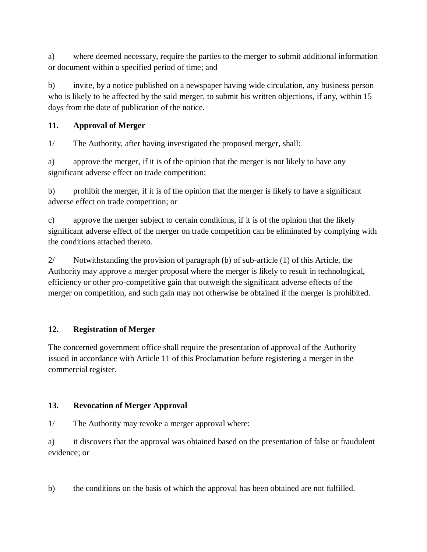a) where deemed necessary, require the parties to the merger to submit additional information or document within a specified period of time; and

b) invite, by a notice published on a newspaper having wide circulation, any business person who is likely to be affected by the said merger, to submit his written objections, if any, within 15 days from the date of publication of the notice.

# **11. Approval of Merger**

1/ The Authority, after having investigated the proposed merger, shall:

a) approve the merger, if it is of the opinion that the merger is not likely to have any significant adverse effect on trade competition;

b) prohibit the merger, if it is of the opinion that the merger is likely to have a significant adverse effect on trade competition; or

c) approve the merger subject to certain conditions, if it is of the opinion that the likely significant adverse effect of the merger on trade competition can be eliminated by complying with the conditions attached thereto.

2/ Notwithstanding the provision of paragraph (b) of sub-article (1) of this Article, the Authority may approve a merger proposal where the merger is likely to result in technological, efficiency or other pro-competitive gain that outweigh the significant adverse effects of the merger on competition, and such gain may not otherwise be obtained if the merger is prohibited.

# **12. Registration of Merger**

The concerned government office shall require the presentation of approval of the Authority issued in accordance with Article 11 of this Proclamation before registering a merger in the commercial register.

# **13. Revocation of Merger Approval**

1/ The Authority may revoke a merger approval where:

a) it discovers that the approval was obtained based on the presentation of false or fraudulent evidence; or

b) the conditions on the basis of which the approval has been obtained are not fulfilled.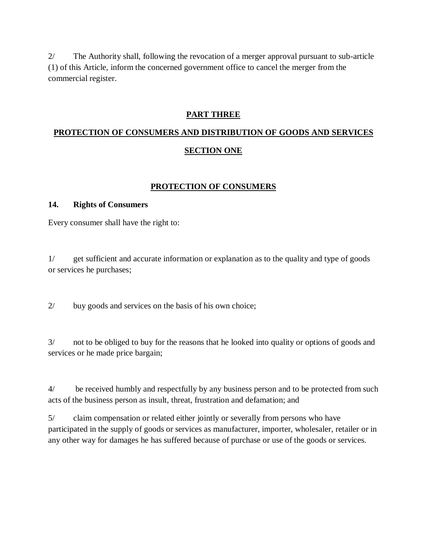2/ The Authority shall, following the revocation of a merger approval pursuant to sub-article (1) of this Article, inform the concerned government office to cancel the merger from the commercial register.

#### **PART THREE**

# **PROTECTION OF CONSUMERS AND DISTRIBUTION OF GOODS AND SERVICES SECTION ONE**

### **PROTECTION OF CONSUMERS**

#### **14. Rights of Consumers**

Every consumer shall have the right to:

1/ get sufficient and accurate information or explanation as to the quality and type of goods or services he purchases;

2/ buy goods and services on the basis of his own choice;

3/ not to be obliged to buy for the reasons that he looked into quality or options of goods and services or he made price bargain;

4/ be received humbly and respectfully by any business person and to be protected from such acts of the business person as insult, threat, frustration and defamation; and

5/ claim compensation or related either jointly or severally from persons who have participated in the supply of goods or services as manufacturer, importer, wholesaler, retailer or in any other way for damages he has suffered because of purchase or use of the goods or services.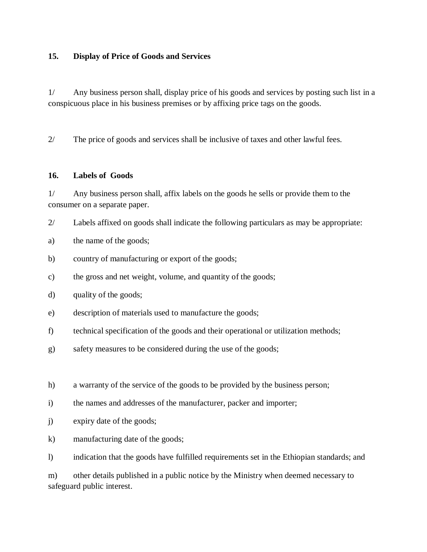### **15. Display of Price of Goods and Services**

1/ Any business person shall, display price of his goods and services by posting such list in a conspicuous place in his business premises or by affixing price tags on the goods.

2/ The price of goods and services shall be inclusive of taxes and other lawful fees.

#### **16. Labels of Goods**

1/ Any business person shall, affix labels on the goods he sells or provide them to the consumer on a separate paper.

2/ Labels affixed on goods shall indicate the following particulars as may be appropriate:

- a) the name of the goods;
- b) country of manufacturing or export of the goods;
- c) the gross and net weight, volume, and quantity of the goods;
- d) quality of the goods;
- e) description of materials used to manufacture the goods;
- f) technical specification of the goods and their operational or utilization methods;
- g) safety measures to be considered during the use of the goods;
- h) a warranty of the service of the goods to be provided by the business person;
- i) the names and addresses of the manufacturer, packer and importer;
- j) expiry date of the goods;
- k) manufacturing date of the goods;

l) indication that the goods have fulfilled requirements set in the Ethiopian standards; and

m) other details published in a public notice by the Ministry when deemed necessary to safeguard public interest.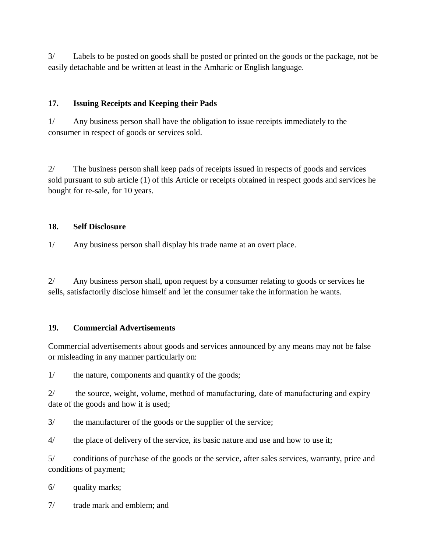3/ Labels to be posted on goods shall be posted or printed on the goods or the package, not be easily detachable and be written at least in the Amharic or English language.

# **17. Issuing Receipts and Keeping their Pads**

1/ Any business person shall have the obligation to issue receipts immediately to the consumer in respect of goods or services sold.

2/ The business person shall keep pads of receipts issued in respects of goods and services sold pursuant to sub article (1) of this Article or receipts obtained in respect goods and services he bought for re-sale, for 10 years.

# **18. Self Disclosure**

1/ Any business person shall display his trade name at an overt place.

2/ Any business person shall, upon request by a consumer relating to goods or services he sells, satisfactorily disclose himself and let the consumer take the information he wants.

# **19. Commercial Advertisements**

Commercial advertisements about goods and services announced by any means may not be false or misleading in any manner particularly on:

1/ the nature, components and quantity of the goods;

2/ the source, weight, volume, method of manufacturing, date of manufacturing and expiry date of the goods and how it is used;

3/ the manufacturer of the goods or the supplier of the service;

4/ the place of delivery of the service, its basic nature and use and how to use it;

5/ conditions of purchase of the goods or the service, after sales services, warranty, price and conditions of payment;

6/ quality marks;

7/ trade mark and emblem; and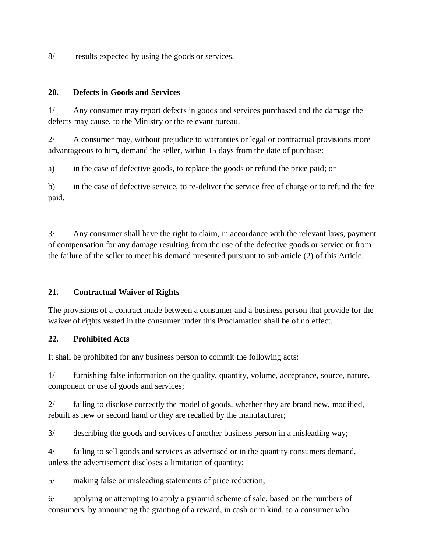8/ results expected by using the goods or services.

### **20. Defects in Goods and Services**

1/ Any consumer may report defects in goods and services purchased and the damage the defects may cause, to the Ministry or the relevant bureau.

2/ A consumer may, without prejudice to warranties or legal or contractual provisions more advantageous to him, demand the seller, within 15 days from the date of purchase:

a) in the case of defective goods, to replace the goods or refund the price paid; or

b) in the case of defective service, to re-deliver the service free of charge or to refund the fee paid.

3/ Any consumer shall have the right to claim, in accordance with the relevant laws, payment of compensation for any damage resulting from the use of the defective goods or service or from the failure of the seller to meet his demand presented pursuant to sub article (2) of this Article.

# **21. Contractual Waiver of Rights**

The provisions of a contract made between a consumer and a business person that provide for the waiver of rights vested in the consumer under this Proclamation shall be of no effect.

# **22. Prohibited Acts**

It shall be prohibited for any business person to commit the following acts:

1/ furnishing false information on the quality, quantity, volume, acceptance, source, nature, component or use of goods and services;

2/ failing to disclose correctly the model of goods, whether they are brand new, modified, rebuilt as new or second hand or they are recalled by the manufacturer;

3/ describing the goods and services of another business person in a misleading way;

4/ failing to sell goods and services as advertised or in the quantity consumers demand, unless the advertisement discloses a limitation of quantity;

5/ making false or misleading statements of price reduction;

6/ applying or attempting to apply a pyramid scheme of sale, based on the numbers of consumers, by announcing the granting of a reward, in cash or in kind, to a consumer who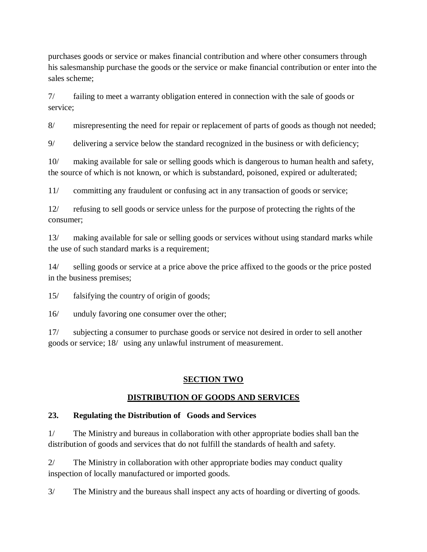purchases goods or service or makes financial contribution and where other consumers through his salesmanship purchase the goods or the service or make financial contribution or enter into the sales scheme;

7/ failing to meet a warranty obligation entered in connection with the sale of goods or service;

8/ misrepresenting the need for repair or replacement of parts of goods as though not needed;

9/ delivering a service below the standard recognized in the business or with deficiency;

10/ making available for sale or selling goods which is dangerous to human health and safety, the source of which is not known, or which is substandard, poisoned, expired or adulterated;

11/ committing any fraudulent or confusing act in any transaction of goods or service;

12/ refusing to sell goods or service unless for the purpose of protecting the rights of the consumer;

13/ making available for sale or selling goods or services without using standard marks while the use of such standard marks is a requirement;

14/ selling goods or service at a price above the price affixed to the goods or the price posted in the business premises;

15/ falsifying the country of origin of goods;

16/ unduly favoring one consumer over the other;

17/ subjecting a consumer to purchase goods or service not desired in order to sell another goods or service; 18/ using any unlawful instrument of measurement.

# **SECTION TWO**

# **DISTRIBUTION OF GOODS AND SERVICES**

# **23. Regulating the Distribution of Goods and Services**

1/ The Ministry and bureaus in collaboration with other appropriate bodies shall ban the distribution of goods and services that do not fulfill the standards of health and safety.

2/ The Ministry in collaboration with other appropriate bodies may conduct quality inspection of locally manufactured or imported goods.

3/ The Ministry and the bureaus shall inspect any acts of hoarding or diverting of goods.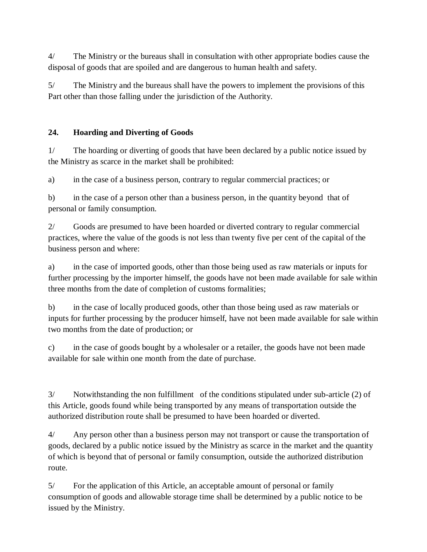4/ The Ministry or the bureaus shall in consultation with other appropriate bodies cause the disposal of goods that are spoiled and are dangerous to human health and safety.

5/ The Ministry and the bureaus shall have the powers to implement the provisions of this Part other than those falling under the jurisdiction of the Authority.

# **24. Hoarding and Diverting of Goods**

1/ The hoarding or diverting of goods that have been declared by a public notice issued by the Ministry as scarce in the market shall be prohibited:

a) in the case of a business person, contrary to regular commercial practices; or

b) in the case of a person other than a business person, in the quantity beyond that of personal or family consumption.

2/ Goods are presumed to have been hoarded or diverted contrary to regular commercial practices, where the value of the goods is not less than twenty five per cent of the capital of the business person and where:

a) in the case of imported goods, other than those being used as raw materials or inputs for further processing by the importer himself, the goods have not been made available for sale within three months from the date of completion of customs formalities;

b) in the case of locally produced goods, other than those being used as raw materials or inputs for further processing by the producer himself, have not been made available for sale within two months from the date of production; or

c) in the case of goods bought by a wholesaler or a retailer, the goods have not been made available for sale within one month from the date of purchase.

3/ Notwithstanding the non fulfillment of the conditions stipulated under sub-article (2) of this Article, goods found while being transported by any means of transportation outside the authorized distribution route shall be presumed to have been hoarded or diverted.

4/ Any person other than a business person may not transport or cause the transportation of goods, declared by a public notice issued by the Ministry as scarce in the market and the quantity of which is beyond that of personal or family consumption, outside the authorized distribution route.

5/ For the application of this Article, an acceptable amount of personal or family consumption of goods and allowable storage time shall be determined by a public notice to be issued by the Ministry.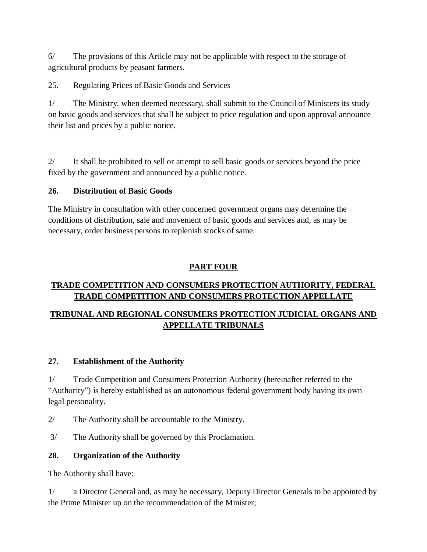6/ The provisions of this Article may not be applicable with respect to the storage of agricultural products by peasant farmers.

25. Regulating Prices of Basic Goods and Services

1/ The Ministry, when deemed necessary, shall submit to the Council of Ministers its study on basic goods and services that shall be subject to price regulation and upon approval announce their list and prices by a public notice.

2/ It shall be prohibited to sell or attempt to sell basic goods or services beyond the price fixed by the government and announced by a public notice.

# **26. Distribution of Basic Goods**

The Ministry in consultation with other concerned government organs may determine the conditions of distribution, sale and movement of basic goods and services and, as may be necessary, order business persons to replenish stocks of same.

# **PART FOUR**

# **TRADE COMPETITION AND CONSUMERS PROTECTION AUTHORITY, FEDERAL TRADE COMPETITION AND CONSUMERS PROTECTION APPELLATE**

# **TRIBUNAL AND REGIONAL CONSUMERS PROTECTION JUDICIAL ORGANS AND APPELLATE TRIBUNALS**

# **27. Establishment of the Authority**

1/ Trade Competition and Consumers Protection Authority (hereinafter referred to the "Authority") is hereby established as an autonomous federal government body having its own legal personality.

2/ The Authority shall be accountable to the Ministry.

3/ The Authority shall be governed by this Proclamation.

# **28. Organization of the Authority**

The Authority shall have:

1/ a Director General and, as may be necessary, Deputy Director Generals to be appointed by the Prime Minister up on the recommendation of the Minister;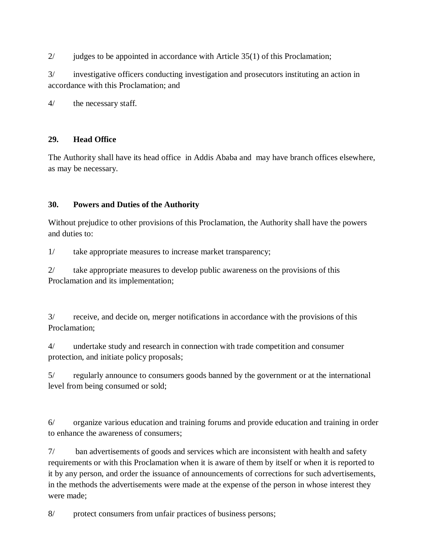2/ judges to be appointed in accordance with Article 35(1) of this Proclamation;

3/ investigative officers conducting investigation and prosecutors instituting an action in accordance with this Proclamation; and

4/ the necessary staff.

# **29. Head Office**

The Authority shall have its head office in Addis Ababa and may have branch offices elsewhere, as may be necessary.

# **30. Powers and Duties of the Authority**

Without prejudice to other provisions of this Proclamation, the Authority shall have the powers and duties to:

1/ take appropriate measures to increase market transparency;

2/ take appropriate measures to develop public awareness on the provisions of this Proclamation and its implementation;

3/ receive, and decide on, merger notifications in accordance with the provisions of this Proclamation;

4/ undertake study and research in connection with trade competition and consumer protection, and initiate policy proposals;

5/ regularly announce to consumers goods banned by the government or at the international level from being consumed or sold;

6/ organize various education and training forums and provide education and training in order to enhance the awareness of consumers;

7/ ban advertisements of goods and services which are inconsistent with health and safety requirements or with this Proclamation when it is aware of them by itself or when it is reported to it by any person, and order the issuance of announcements of corrections for such advertisements, in the methods the advertisements were made at the expense of the person in whose interest they were made;

8/ protect consumers from unfair practices of business persons;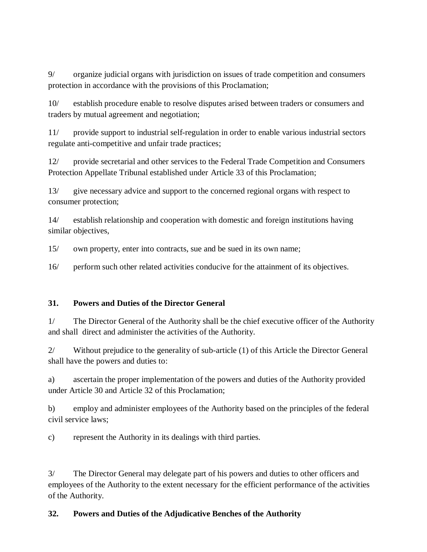9/ organize judicial organs with jurisdiction on issues of trade competition and consumers protection in accordance with the provisions of this Proclamation;

10/ establish procedure enable to resolve disputes arised between traders or consumers and traders by mutual agreement and negotiation;

11/ provide support to industrial self-regulation in order to enable various industrial sectors regulate anti-competitive and unfair trade practices;

12/ provide secretarial and other services to the Federal Trade Competition and Consumers Protection Appellate Tribunal established under Article 33 of this Proclamation;

13/ give necessary advice and support to the concerned regional organs with respect to consumer protection;

14/ establish relationship and cooperation with domestic and foreign institutions having similar objectives,

15/ own property, enter into contracts, sue and be sued in its own name;

16/ perform such other related activities conducive for the attainment of its objectives.

# **31. Powers and Duties of the Director General**

1/ The Director General of the Authority shall be the chief executive officer of the Authority and shall direct and administer the activities of the Authority.

2/ Without prejudice to the generality of sub-article (1) of this Article the Director General shall have the powers and duties to:

a) ascertain the proper implementation of the powers and duties of the Authority provided under Article 30 and Article 32 of this Proclamation;

b) employ and administer employees of the Authority based on the principles of the federal civil service laws;

c) represent the Authority in its dealings with third parties.

3/ The Director General may delegate part of his powers and duties to other officers and employees of the Authority to the extent necessary for the efficient performance of the activities of the Authority.

# **32. Powers and Duties of the Adjudicative Benches of the Authority**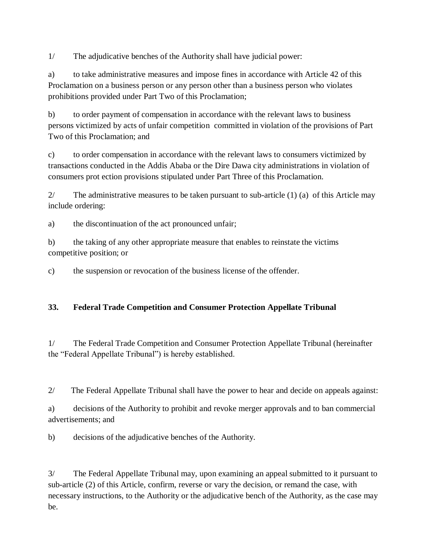1/ The adjudicative benches of the Authority shall have judicial power:

a) to take administrative measures and impose fines in accordance with Article 42 of this Proclamation on a business person or any person other than a business person who violates prohibitions provided under Part Two of this Proclamation;

b) to order payment of compensation in accordance with the relevant laws to business persons victimized by acts of unfair competition committed in violation of the provisions of Part Two of this Proclamation; and

c) to order compensation in accordance with the relevant laws to consumers victimized by transactions conducted in the Addis Ababa or the Dire Dawa city administrations in violation of consumers prot ection provisions stipulated under Part Three of this Proclamation.

2/ The administrative measures to be taken pursuant to sub-article  $(1)$  (a) of this Article may include ordering:

a) the discontinuation of the act pronounced unfair;

b) the taking of any other appropriate measure that enables to reinstate the victims competitive position; or

c) the suspension or revocation of the business license of the offender.

# **33. Federal Trade Competition and Consumer Protection Appellate Tribunal**

1/ The Federal Trade Competition and Consumer Protection Appellate Tribunal (hereinafter the "Federal Appellate Tribunal") is hereby established.

2/ The Federal Appellate Tribunal shall have the power to hear and decide on appeals against:

a) decisions of the Authority to prohibit and revoke merger approvals and to ban commercial advertisements; and

b) decisions of the adjudicative benches of the Authority.

3/ The Federal Appellate Tribunal may, upon examining an appeal submitted to it pursuant to sub-article (2) of this Article, confirm, reverse or vary the decision, or remand the case, with necessary instructions, to the Authority or the adjudicative bench of the Authority, as the case may be.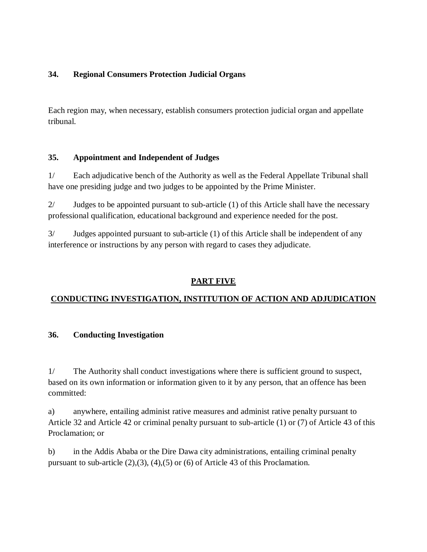# **34. Regional Consumers Protection Judicial Organs**

Each region may, when necessary, establish consumers protection judicial organ and appellate tribunal.

# **35. Appointment and Independent of Judges**

1/ Each adjudicative bench of the Authority as well as the Federal Appellate Tribunal shall have one presiding judge and two judges to be appointed by the Prime Minister.

2/ Judges to be appointed pursuant to sub-article (1) of this Article shall have the necessary professional qualification, educational background and experience needed for the post.

3/ Judges appointed pursuant to sub-article (1) of this Article shall be independent of any interference or instructions by any person with regard to cases they adjudicate.

# **PART FIVE**

# **CONDUCTING INVESTIGATION, INSTITUTION OF ACTION AND ADJUDICATION**

# **36. Conducting Investigation**

1/ The Authority shall conduct investigations where there is sufficient ground to suspect, based on its own information or information given to it by any person, that an offence has been committed:

a) anywhere, entailing administ rative measures and administ rative penalty pursuant to Article 32 and Article 42 or criminal penalty pursuant to sub-article (1) or (7) of Article 43 of this Proclamation; or

b) in the Addis Ababa or the Dire Dawa city administrations, entailing criminal penalty pursuant to sub-article (2),(3), (4),(5) or (6) of Article 43 of this Proclamation.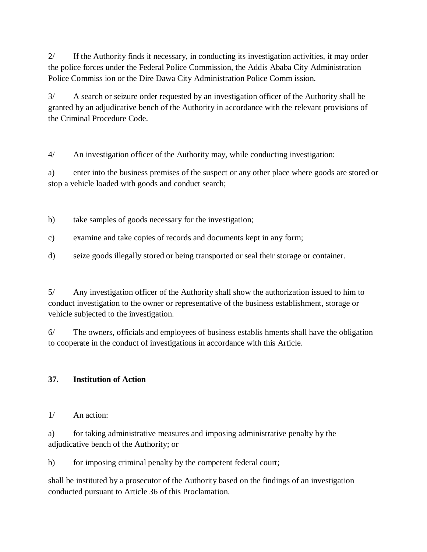2/ If the Authority finds it necessary, in conducting its investigation activities, it may order the police forces under the Federal Police Commission, the Addis Ababa City Administration Police Commiss ion or the Dire Dawa City Administration Police Comm ission.

3/ A search or seizure order requested by an investigation officer of the Authority shall be granted by an adjudicative bench of the Authority in accordance with the relevant provisions of the Criminal Procedure Code.

4/ An investigation officer of the Authority may, while conducting investigation:

a) enter into the business premises of the suspect or any other place where goods are stored or stop a vehicle loaded with goods and conduct search;

b) take samples of goods necessary for the investigation;

- c) examine and take copies of records and documents kept in any form;
- d) seize goods illegally stored or being transported or seal their storage or container.

5/ Any investigation officer of the Authority shall show the authorization issued to him to conduct investigation to the owner or representative of the business establishment, storage or vehicle subjected to the investigation.

6/ The owners, officials and employees of business establis hments shall have the obligation to cooperate in the conduct of investigations in accordance with this Article.

# **37. Institution of Action**

1/ An action:

a) for taking administrative measures and imposing administrative penalty by the adjudicative bench of the Authority; or

b) for imposing criminal penalty by the competent federal court;

shall be instituted by a prosecutor of the Authority based on the findings of an investigation conducted pursuant to Article 36 of this Proclamation.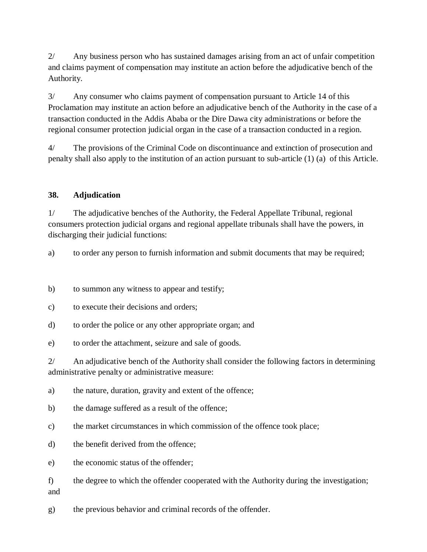2/ Any business person who has sustained damages arising from an act of unfair competition and claims payment of compensation may institute an action before the adjudicative bench of the Authority.

3/ Any consumer who claims payment of compensation pursuant to Article 14 of this Proclamation may institute an action before an adjudicative bench of the Authority in the case of a transaction conducted in the Addis Ababa or the Dire Dawa city administrations or before the regional consumer protection judicial organ in the case of a transaction conducted in a region.

4/ The provisions of the Criminal Code on discontinuance and extinction of prosecution and penalty shall also apply to the institution of an action pursuant to sub-article (1) (a) of this Article.

# **38. Adjudication**

1/ The adjudicative benches of the Authority, the Federal Appellate Tribunal, regional consumers protection judicial organs and regional appellate tribunals shall have the powers, in discharging their judicial functions:

a) to order any person to furnish information and submit documents that may be required;

b) to summon any witness to appear and testify;

c) to execute their decisions and orders;

d) to order the police or any other appropriate organ; and

e) to order the attachment, seizure and sale of goods.

2/ An adjudicative bench of the Authority shall consider the following factors in determining administrative penalty or administrative measure:

a) the nature, duration, gravity and extent of the offence;

b) the damage suffered as a result of the offence;

c) the market circumstances in which commission of the offence took place;

d) the benefit derived from the offence;

e) the economic status of the offender;

f) the degree to which the offender cooperated with the Authority during the investigation; and

g) the previous behavior and criminal records of the offender.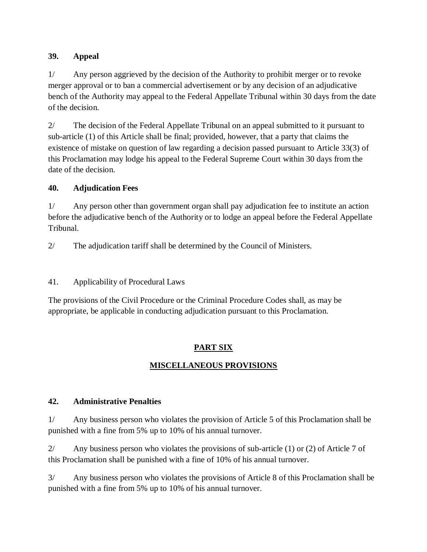# **39. Appeal**

1/ Any person aggrieved by the decision of the Authority to prohibit merger or to revoke merger approval or to ban a commercial advertisement or by any decision of an adjudicative bench of the Authority may appeal to the Federal Appellate Tribunal within 30 days from the date of the decision.

2/ The decision of the Federal Appellate Tribunal on an appeal submitted to it pursuant to sub-article (1) of this Article shall be final; provided, however, that a party that claims the existence of mistake on question of law regarding a decision passed pursuant to Article 33(3) of this Proclamation may lodge his appeal to the Federal Supreme Court within 30 days from the date of the decision.

# **40. Adjudication Fees**

1/ Any person other than government organ shall pay adjudication fee to institute an action before the adjudicative bench of the Authority or to lodge an appeal before the Federal Appellate Tribunal.

2/ The adjudication tariff shall be determined by the Council of Ministers.

41. Applicability of Procedural Laws

The provisions of the Civil Procedure or the Criminal Procedure Codes shall, as may be appropriate, be applicable in conducting adjudication pursuant to this Proclamation.

# **PART SIX**

# **MISCELLANEOUS PROVISIONS**

# **42. Administrative Penalties**

1/ Any business person who violates the provision of Article 5 of this Proclamation shall be punished with a fine from 5% up to 10% of his annual turnover.

2/ Any business person who violates the provisions of sub-article (1) or (2) of Article 7 of this Proclamation shall be punished with a fine of 10% of his annual turnover.

3/ Any business person who violates the provisions of Article 8 of this Proclamation shall be punished with a fine from 5% up to 10% of his annual turnover.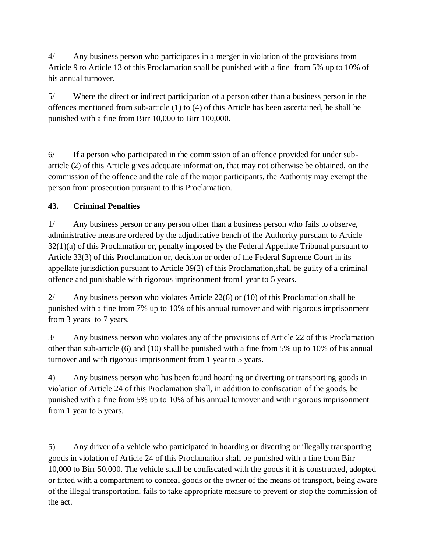4/ Any business person who participates in a merger in violation of the provisions from Article 9 to Article 13 of this Proclamation shall be punished with a fine from 5% up to 10% of his annual turnover.

5/ Where the direct or indirect participation of a person other than a business person in the offences mentioned from sub-article (1) to (4) of this Article has been ascertained, he shall be punished with a fine from Birr 10,000 to Birr 100,000.

6/ If a person who participated in the commission of an offence provided for under subarticle (2) of this Article gives adequate information, that may not otherwise be obtained, on the commission of the offence and the role of the major participants, the Authority may exempt the person from prosecution pursuant to this Proclamation.

# **43. Criminal Penalties**

1/ Any business person or any person other than a business person who fails to observe, administrative measure ordered by the adjudicative bench of the Authority pursuant to Article 32(1)(a) of this Proclamation or, penalty imposed by the Federal Appellate Tribunal pursuant to Article 33(3) of this Proclamation or, decision or order of the Federal Supreme Court in its appellate jurisdiction pursuant to Article 39(2) of this Proclamation,shall be guilty of a criminal offence and punishable with rigorous imprisonment from1 year to 5 years.

2/ Any business person who violates Article 22(6) or (10) of this Proclamation shall be punished with a fine from 7% up to 10% of his annual turnover and with rigorous imprisonment from 3 years to 7 years.

3/ Any business person who violates any of the provisions of Article 22 of this Proclamation other than sub-article (6) and (10) shall be punished with a fine from 5% up to 10% of his annual turnover and with rigorous imprisonment from 1 year to 5 years.

4) Any business person who has been found hoarding or diverting or transporting goods in violation of Article 24 of this Proclamation shall, in addition to confiscation of the goods, be punished with a fine from 5% up to 10% of his annual turnover and with rigorous imprisonment from 1 year to 5 years.

5) Any driver of a vehicle who participated in hoarding or diverting or illegally transporting goods in violation of Article 24 of this Proclamation shall be punished with a fine from Birr 10,000 to Birr 50,000. The vehicle shall be confiscated with the goods if it is constructed, adopted or fitted with a compartment to conceal goods or the owner of the means of transport, being aware of the illegal transportation, fails to take appropriate measure to prevent or stop the commission of the act.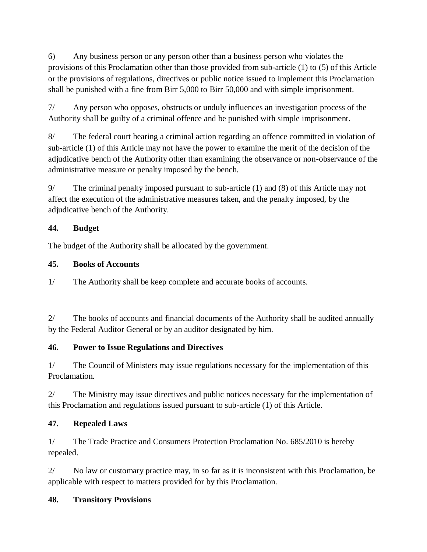6) Any business person or any person other than a business person who violates the provisions of this Proclamation other than those provided from sub-article (1) to (5) of this Article or the provisions of regulations, directives or public notice issued to implement this Proclamation shall be punished with a fine from Birr 5,000 to Birr 50,000 and with simple imprisonment.

7/ Any person who opposes, obstructs or unduly influences an investigation process of the Authority shall be guilty of a criminal offence and be punished with simple imprisonment.

8/ The federal court hearing a criminal action regarding an offence committed in violation of sub-article (1) of this Article may not have the power to examine the merit of the decision of the adjudicative bench of the Authority other than examining the observance or non-observance of the administrative measure or penalty imposed by the bench.

9/ The criminal penalty imposed pursuant to sub-article (1) and (8) of this Article may not affect the execution of the administrative measures taken, and the penalty imposed, by the adjudicative bench of the Authority.

# **44. Budget**

The budget of the Authority shall be allocated by the government.

# **45. Books of Accounts**

1/ The Authority shall be keep complete and accurate books of accounts.

2/ The books of accounts and financial documents of the Authority shall be audited annually by the Federal Auditor General or by an auditor designated by him.

# **46. Power to Issue Regulations and Directives**

1/ The Council of Ministers may issue regulations necessary for the implementation of this Proclamation.

2/ The Ministry may issue directives and public notices necessary for the implementation of this Proclamation and regulations issued pursuant to sub-article (1) of this Article.

# **47. Repealed Laws**

1/ The Trade Practice and Consumers Protection Proclamation No. 685/2010 is hereby repealed.

2/ No law or customary practice may, in so far as it is inconsistent with this Proclamation, be applicable with respect to matters provided for by this Proclamation.

# **48. Transitory Provisions**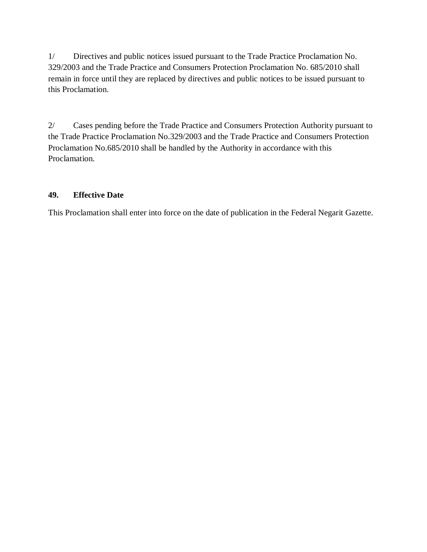1/ Directives and public notices issued pursuant to the Trade Practice Proclamation No. 329/2003 and the Trade Practice and Consumers Protection Proclamation No. 685/2010 shall remain in force until they are replaced by directives and public notices to be issued pursuant to this Proclamation.

2/ Cases pending before the Trade Practice and Consumers Protection Authority pursuant to the Trade Practice Proclamation No.329/2003 and the Trade Practice and Consumers Protection Proclamation No.685/2010 shall be handled by the Authority in accordance with this Proclamation.

# **49. Effective Date**

This Proclamation shall enter into force on the date of publication in the Federal Negarit Gazette.